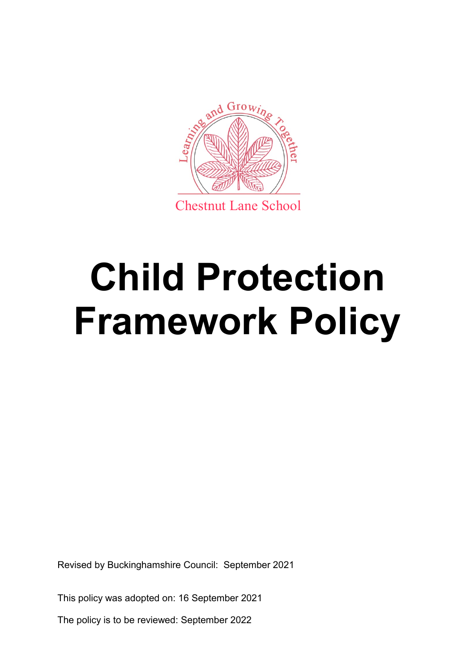

# **Child Protection Framework Policy**

Revised by Buckinghamshire Council: September 2021

This policy was adopted on: 16 September 2021

The policy is to be reviewed: September 2022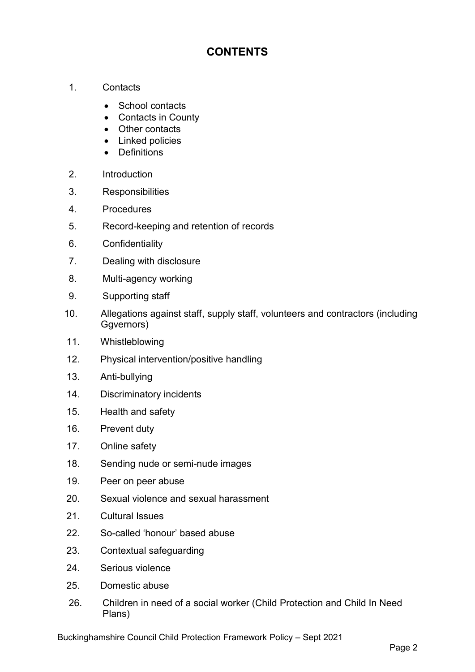# **CONTENTS**

- 1. Contacts
	- School contacts
	- Contacts in County
	- Other contacts
	- Linked policies
	- Definitions
- 2. Introduction
- 3. Responsibilities
- 4. Procedures
- 5. Record-keeping and retention of records
- 6. Confidentiality
- 7. Dealing with disclosure
- 8. Multi-agency working
- 9. Supporting staff
- 10. Allegations against staff, supply staff, volunteers and contractors (including Ggvernors)
- 11. Whistleblowing
- 12. Physical intervention/positive handling
- 13. Anti-bullying
- 14. Discriminatory incidents
- 15. Health and safety
- 16. Prevent duty
- 17. Online safety
- 18. Sending nude or semi-nude images
- 19. Peer on peer abuse
- 20. Sexual violence and sexual harassment
- 21. Cultural Issues
- 22. So-called 'honour' based abuse
- 23. Contextual safeguarding
- 24. Serious violence
- 25. Domestic abuse
- 26. Children in need of a social worker (Child Protection and Child In Need Plans)

Buckinghamshire Council Child Protection Framework Policy – Sept 2021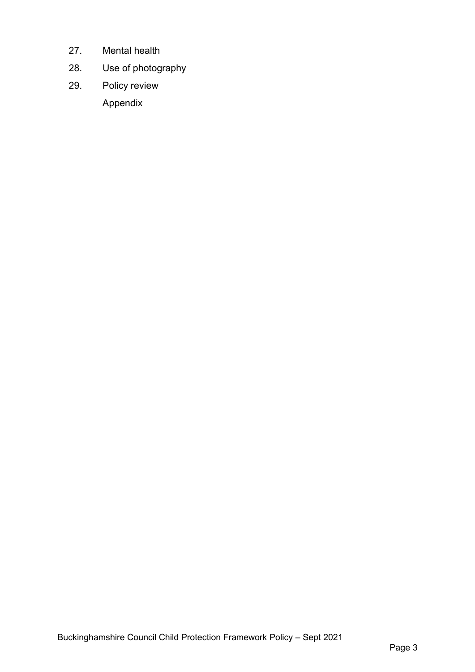- 27. Mental health
- 28. Use of photography
- 29. Policy review Appendix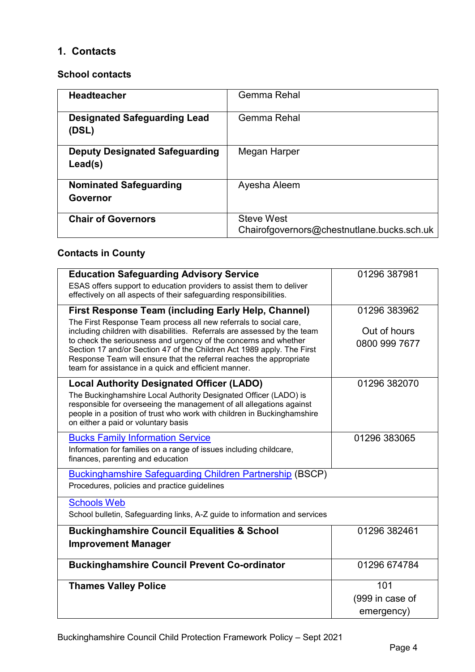# **1. Contacts**

## **School contacts**

| <b>Headteacher</b>                               | Gemma Rehal                                                     |
|--------------------------------------------------|-----------------------------------------------------------------|
| <b>Designated Safeguarding Lead</b><br>(DSL)     | Gemma Rehal                                                     |
| <b>Deputy Designated Safeguarding</b><br>Lead(s) | Megan Harper                                                    |
| <b>Nominated Safeguarding</b><br>Governor        | Ayesha Aleem                                                    |
| <b>Chair of Governors</b>                        | <b>Steve West</b><br>Chairofgovernors@chestnutlane.bucks.sch.uk |

# **Contacts in County**

| <b>Education Safeguarding Advisory Service</b><br>ESAS offers support to education providers to assist them to deliver<br>effectively on all aspects of their safeguarding responsibilities.                                                                                                                                                                                                                                                                                             | 01296 387981                                  |
|------------------------------------------------------------------------------------------------------------------------------------------------------------------------------------------------------------------------------------------------------------------------------------------------------------------------------------------------------------------------------------------------------------------------------------------------------------------------------------------|-----------------------------------------------|
| <b>First Response Team (including Early Help, Channel)</b><br>The First Response Team process all new referrals to social care,<br>including children with disabilities. Referrals are assessed by the team<br>to check the seriousness and urgency of the concerns and whether<br>Section 17 and/or Section 47 of the Children Act 1989 apply. The First<br>Response Team will ensure that the referral reaches the appropriate<br>team for assistance in a quick and efficient manner. | 01296 383962<br>Out of hours<br>0800 999 7677 |
| <b>Local Authority Designated Officer (LADO)</b><br>The Buckinghamshire Local Authority Designated Officer (LADO) is<br>responsible for overseeing the management of all allegations against<br>people in a position of trust who work with children in Buckinghamshire<br>on either a paid or voluntary basis                                                                                                                                                                           | 01296 382070                                  |
| <b>Bucks Family Information Service</b><br>Information for families on a range of issues including childcare,<br>finances, parenting and education                                                                                                                                                                                                                                                                                                                                       | 01296 383065                                  |
| <b>Buckinghamshire Safeguarding Children Partnership (BSCP)</b><br>Procedures, policies and practice guidelines                                                                                                                                                                                                                                                                                                                                                                          |                                               |
| <b>Schools Web</b><br>School bulletin, Safeguarding links, A-Z guide to information and services                                                                                                                                                                                                                                                                                                                                                                                         |                                               |
| <b>Buckinghamshire Council Equalities &amp; School</b><br><b>Improvement Manager</b>                                                                                                                                                                                                                                                                                                                                                                                                     | 01296 382461                                  |
| <b>Buckinghamshire Council Prevent Co-ordinator</b>                                                                                                                                                                                                                                                                                                                                                                                                                                      | 01296 674784                                  |
| <b>Thames Valley Police</b>                                                                                                                                                                                                                                                                                                                                                                                                                                                              | 101<br>(999 in case of<br>emergency)          |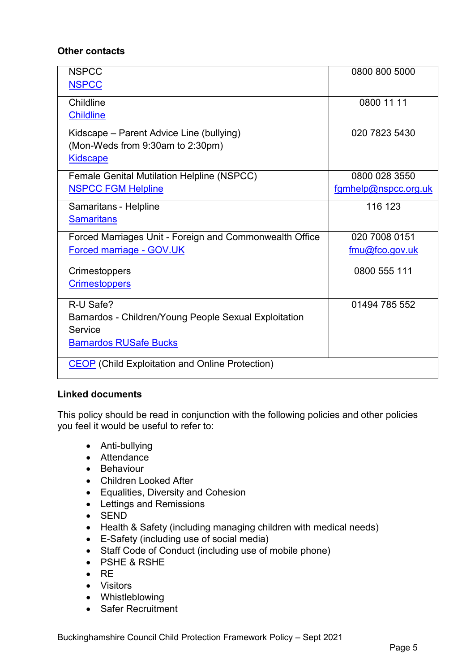## **Other contacts**

| <b>NSPCC</b><br><b>NSPCC</b>                                                                                   | 0800 800 5000                         |
|----------------------------------------------------------------------------------------------------------------|---------------------------------------|
| Childline<br><b>Childline</b>                                                                                  | 0800 11 11                            |
| Kidscape - Parent Advice Line (bullying)<br>(Mon-Weds from 9:30am to 2:30pm)<br><b>Kidscape</b>                | 020 7823 5430                         |
| <b>Female Genital Mutilation Helpline (NSPCC)</b><br><b>NSPCC FGM Helpline</b>                                 | 0800 028 3550<br>fgmhelp@nspcc.org.uk |
| Samaritans - Helpline<br><b>Samaritans</b>                                                                     | 116 123                               |
| Forced Marriages Unit - Foreign and Commonwealth Office<br>Forced marriage - GOV.UK                            | 020 7008 0151<br>fmu@fco.gov.uk       |
| Crimestoppers<br><b>Crimestoppers</b>                                                                          | 0800 555 111                          |
| R-U Safe?<br>Barnardos - Children/Young People Sexual Exploitation<br>Service<br><b>Barnardos RUSafe Bucks</b> | 01494 785 552                         |
| <b>CEOP</b> (Child Exploitation and Online Protection)                                                         |                                       |

## **Linked documents**

This policy should be read in conjunction with the following policies and other policies you feel it would be useful to refer to:

- Anti-bullying
- Attendance
- Behaviour
- Children Looked After
- Equalities, Diversity and Cohesion
- Lettings and Remissions
- SEND
- Health & Safety (including managing children with medical needs)
- E-Safety (including use of social media)
- Staff Code of Conduct (including use of mobile phone)
- PSHE & RSHE
- $\bullet$  RE
- Visitors
- Whistleblowing
- Safer Recruitment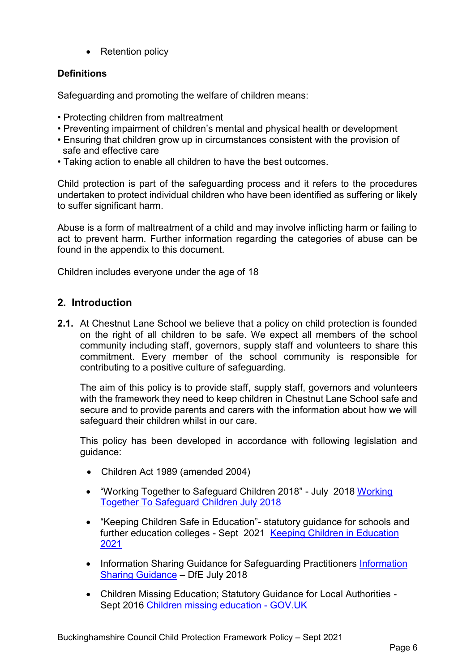• Retention policy

## **Definitions**

Safeguarding and promoting the welfare of children means:

- Protecting children from maltreatment
- Preventing impairment of children's mental and physical health or development
- Ensuring that children grow up in circumstances consistent with the provision of safe and effective care
- Taking action to enable all children to have the best outcomes.

Child protection is part of the safeguarding process and it refers to the procedures undertaken to protect individual children who have been identified as suffering or likely to suffer significant harm.

Abuse is a form of maltreatment of a child and may involve inflicting harm or failing to act to prevent harm. Further information regarding the categories of abuse can be found in the appendix to this document.

Children includes everyone under the age of 18

# **2. Introduction**

**2.1.** At Chestnut Lane School we believe that a policy on child protection is founded on the right of all children to be safe. We expect all members of the school community including staff, governors, supply staff and volunteers to share this commitment. Every member of the school community is responsible for contributing to a positive culture of safeguarding.

The aim of this policy is to provide staff, supply staff, governors and volunteers with the framework they need to keep children in Chestnut Lane School safe and secure and to provide parents and carers with the information about how we will safeguard their children whilst in our care.

This policy has been developed in accordance with following legislation and guidance:

- Children Act 1989 (amended 2004)
- "Working Together to Safeguard Children 2018" July 2018 Working [Together To Safeguard Children July 2018](https://www.gov.uk/government/publications/working-together-to-safeguard-children--2)
- "Keeping Children Safe in Education"- statutory guidance for schools and further education colleges - Sept 2021 [Keeping Children in Education](https://assets.publishing.service.gov.uk/government/uploads/system/uploads/attachment_data/file/999348/Keeping_children_safe_in_education_2021.pdf)  [2021](https://assets.publishing.service.gov.uk/government/uploads/system/uploads/attachment_data/file/999348/Keeping_children_safe_in_education_2021.pdf)
- • [Information](https://www.gov.uk/government/publications/safeguarding-practitioners-information-sharing-advice) Sharing Guidance for Safeguarding Practitioners Information [Sharing Guidance](https://www.gov.uk/government/publications/safeguarding-practitioners-information-sharing-advice) – DfE July 2018
- Children Missing Education; Statutory Guidance for Local Authorities Sept 2016 [Children missing education -](https://www.gov.uk/government/publications/children-missing-education) GOV.UK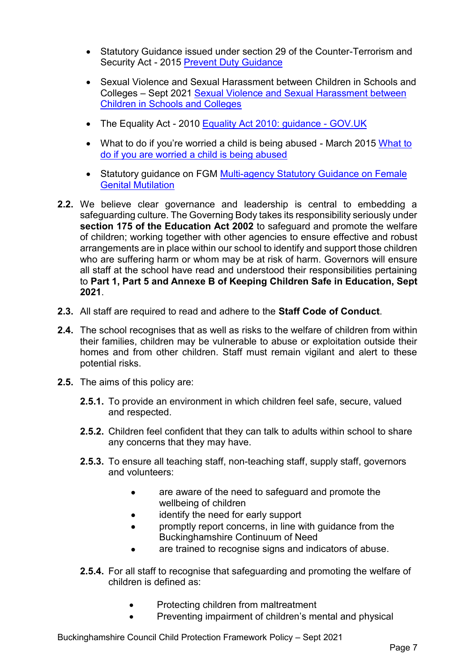- Statutory Guidance issued under section 29 of the Counter-Terrorism and Security Act - 2015 [Prevent Duty Guidance](https://www.gov.uk/government/publications/prevent-duty-guidance)
- Sexual Violence and Sexual Harassment between Children in Schools and Colleges – Sept 2021 [Sexual Violence and Sexual Harassment between](https://assets.publishing.service.gov.uk/government/uploads/system/uploads/attachment_data/file/999239/SVSH_2021.pdf)  [Children in Schools and Colleges](https://assets.publishing.service.gov.uk/government/uploads/system/uploads/attachment_data/file/999239/SVSH_2021.pdf)
- The Equality Act 2010 [Equality Act 2010: guidance -](https://www.gov.uk/guidance/equality-act-2010-guidance) GOV.UK
- • [What to](https://assets.publishing.service.gov.uk/government/uploads/system/uploads/attachment_data/file/419604/What_to_do_if_you_re_worried_a_child_is_being_abused.pdf) do if you're worried a child is being abused March 2015 What to [do if you are worried a child is being abused](https://assets.publishing.service.gov.uk/government/uploads/system/uploads/attachment_data/file/419604/What_to_do_if_you_re_worried_a_child_is_being_abused.pdf)
- Statutory guidance on FGM Multi-agency Statutory Guidance on Female [Genital Mutilation](https://assets.publishing.service.gov.uk/government/uploads/system/uploads/attachment_data/file/912996/6-1914-HO-Multi_Agency_Statutory_Guidance_on_FGM__-_MASTER_V7_-_FINAL__July_2020.pdf)
- **2.2.** We believe clear governance and leadership is central to embedding a safeguarding culture. The Governing Body takes its responsibility seriously under **section 175 of the Education Act 2002** to safeguard and promote the welfare of children; working together with other agencies to ensure effective and robust arrangements are in place within our school to identify and support those children who are suffering harm or whom may be at risk of harm. Governors will ensure all staff at the school have read and understood their responsibilities pertaining to **Part 1, Part 5 and Annexe B of Keeping Children Safe in Education, Sept 2021**.
- **2.3.** All staff are required to read and adhere to the **Staff Code of Conduct**.
- **2.4.** The school recognises that as well as risks to the welfare of children from within their families, children may be vulnerable to abuse or exploitation outside their homes and from other children. Staff must remain vigilant and alert to these potential risks.
- **2.5.** The aims of this policy are:
	- **2.5.1.** To provide an environment in which children feel safe, secure, valued and respected.
	- **2.5.2.** Children feel confident that they can talk to adults within school to share any concerns that they may have.
	- **2.5.3.** To ensure all teaching staff, non-teaching staff, supply staff, governors and volunteers:
		- are aware of the need to safeguard and promote the wellbeing of children
		- identify the need for early support
		- promptly report concerns, in line with guidance from the Buckinghamshire Continuum of Need
		- are trained to recognise signs and indicators of abuse.
	- **2.5.4.** For all staff to recognise that safeguarding and promoting the welfare of children is defined as:
		- Protecting children from maltreatment
		- Preventing impairment of children's mental and physical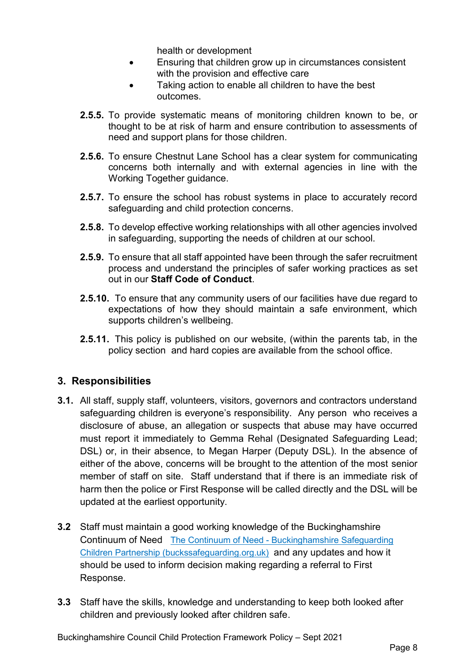health or development

- Ensuring that children grow up in circumstances consistent with the provision and effective care
- Taking action to enable all children to have the best outcomes.
- **2.5.5.** To provide systematic means of monitoring children known to be, or thought to be at risk of harm and ensure contribution to assessments of need and support plans for those children.
- **2.5.6.** To ensure Chestnut Lane School has a clear system for communicating concerns both internally and with external agencies in line with the Working Together guidance.
- **2.5.7.** To ensure the school has robust systems in place to accurately record safeguarding and child protection concerns.
- **2.5.8.** To develop effective working relationships with all other agencies involved in safeguarding, supporting the needs of children at our school.
- **2.5.9.** To ensure that all staff appointed have been through the safer recruitment process and understand the principles of safer working practices as set out in our **Staff Code of Conduct**.
- **2.5.10.** To ensure that any community users of our facilities have due regard to expectations of how they should maintain a safe environment, which supports children's wellbeing.
- **2.5.11.** This policy is published on our website, (within the parents tab, in the policy section and hard copies are available from the school office.

# **3. Responsibilities**

- **3.1.** All staff, supply staff, volunteers, visitors, governors and contractors understand safeguarding children is everyone's responsibility. Any person who receives a disclosure of abuse, an allegation or suspects that abuse may have occurred must report it immediately to Gemma Rehal (Designated Safeguarding Lead; DSL) or, in their absence, to Megan Harper (Deputy DSL). In the absence of either of the above, concerns will be brought to the attention of the most senior member of staff on site. Staff understand that if there is an immediate risk of harm then the police or First Response will be called directly and the DSL will be updated at the earliest opportunity.
- **3.2** Staff must maintain a good working knowledge of the Buckinghamshire Continuum of Need The Continuum of Need - [Buckinghamshire Safeguarding](https://www.buckssafeguarding.org.uk/childrenpartnership/professionals/continuum-of-need/)  [Children Partnership \(buckssafeguarding.org.uk\)](https://www.buckssafeguarding.org.uk/childrenpartnership/professionals/continuum-of-need/) and any updates and how it should be used to inform decision making regarding a referral to First Response.
- **3.3** Staff have the skills, knowledge and understanding to keep both looked after children and previously looked after children safe.

Buckinghamshire Council Child Protection Framework Policy – Sept 2021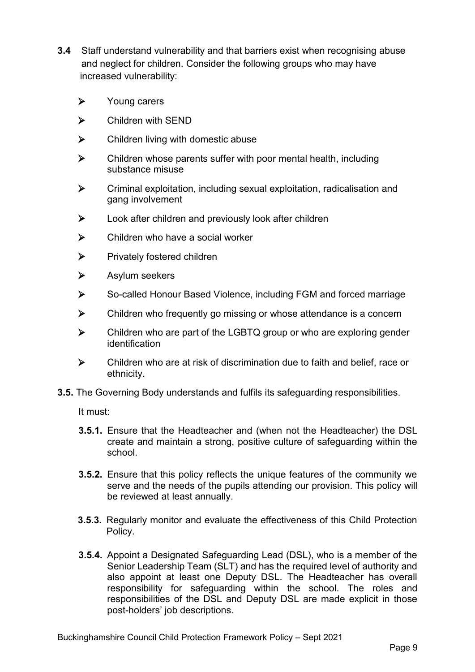- **3.4** Staff understand vulnerability and that barriers exist when recognising abuse and neglect for children. Consider the following groups who may have increased vulnerability:
	- > Young carers
	- Children with SEND
	- $\triangleright$  Children living with domestic abuse
	- $\triangleright$  Children whose parents suffer with poor mental health, including substance misuse
	- Criminal exploitation, including sexual exploitation, radicalisation and gang involvement
	- $\triangleright$  Look after children and previously look after children
	- $\triangleright$  Children who have a social worker
	- $\triangleright$  Privately fostered children
	- Asylum seekers
	- So-called Honour Based Violence, including FGM and forced marriage
	- $\triangleright$  Children who frequently go missing or whose attendance is a concern
	- $\triangleright$  Children who are part of the LGBTQ group or who are exploring gender identification
	- Children who are at risk of discrimination due to faith and belief, race or ethnicity.
- **3.5.** The Governing Body understands and fulfils its safeguarding responsibilities.

It must:

- **3.5.1.** Ensure that the Headteacher and (when not the Headteacher) the DSL create and maintain a strong, positive culture of safeguarding within the school.
- **3.5.2.** Ensure that this policy reflects the unique features of the community we serve and the needs of the pupils attending our provision. This policy will be reviewed at least annually.
- **3.5.3.** Regularly monitor and evaluate the effectiveness of this Child Protection Policy.
- **3.5.4.** Appoint a Designated Safeguarding Lead (DSL), who is a member of the Senior Leadership Team (SLT) and has the required level of authority and also appoint at least one Deputy DSL. The Headteacher has overall responsibility for safeguarding within the school. The roles and responsibilities of the DSL and Deputy DSL are made explicit in those post-holders' job descriptions.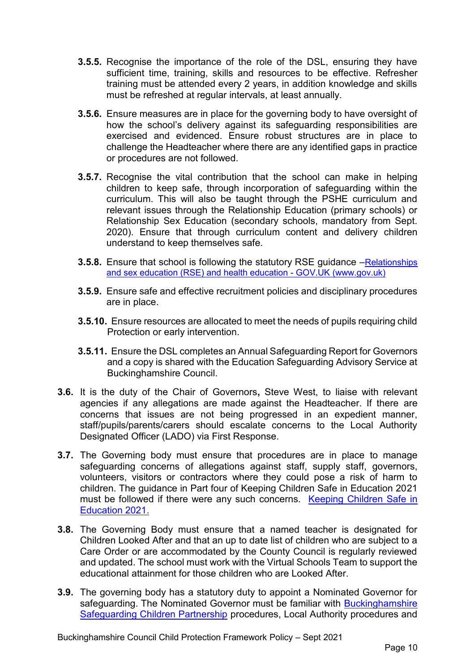- **3.5.5.** Recognise the importance of the role of the DSL, ensuring they have sufficient time, training, skills and resources to be effective. Refresher training must be attended every 2 years, in addition knowledge and skills must be refreshed at regular intervals, at least annually.
- **3.5.6.** Ensure measures are in place for the governing body to have oversight of how the school's delivery against its safeguarding responsibilities are exercised and evidenced. Ensure robust structures are in place to challenge the Headteacher where there are any identified gaps in practice or procedures are not followed.
- **3.5.7.** Recognise the vital contribution that the school can make in helping children to keep safe, through incorporation of safeguarding within the curriculum. This will also be taught through the PSHE curriculum and relevant issues through the Relationship Education (primary schools) or Relationship Sex Education (secondary schools, mandatory from Sept. 2020). Ensure that through curriculum content and delivery children understand to keep themselves safe.
- **3.5.8.** Ensure that school is following the statutory RSE guidance Relationships [and sex education \(RSE\) and health education -](https://www.gov.uk/government/publications/relationships-education-relationships-and-sex-education-rse-and-health-education) GOV.UK (www.gov.uk)
- **3.5.9.** Ensure safe and effective recruitment policies and disciplinary procedures are in place.
- **3.5.10.** Ensure resources are allocated to meet the needs of pupils requiring child Protection or early intervention.
- **3.5.11.** Ensure the DSL completes an Annual Safeguarding Report for Governors and a copy is shared with the Education Safeguarding Advisory Service at Buckinghamshire Council.
- **3.6.** It is the duty of the Chair of Governors**,** Steve West, to liaise with relevant agencies if any allegations are made against the Headteacher. If there are concerns that issues are not being progressed in an expedient manner, staff/pupils/parents/carers should escalate concerns to the Local Authority Designated Officer (LADO) via First Response.
- **3.7.** The Governing body must ensure that procedures are in place to manage safeguarding concerns of allegations against staff, supply staff, governors, volunteers, visitors or contractors where they could pose a risk of harm to children. The guidance in Part four of Keeping Children Safe in Education 2021 must be followed if there were any such concerns. [Keeping Children Safe in](https://assets.publishing.service.gov.uk/government/uploads/system/uploads/attachment_data/file/999348/Keeping_children_safe_in_education_2021.pdf)  [Education 2021.](https://assets.publishing.service.gov.uk/government/uploads/system/uploads/attachment_data/file/999348/Keeping_children_safe_in_education_2021.pdf)
- **3.8.** The Governing Body must ensure that a named teacher is designated for Children Looked After and that an up to date list of children who are subject to a Care Order or are accommodated by the County Council is regularly reviewed and updated. The school must work with the Virtual Schools Team to support the educational attainment for those children who are Looked After.
- **3.9.** The governing body has a statutory duty to appoint a Nominated Governor for safeguarding. The Nominated Governor must be familiar with [Buckinghamshire](https://www.bucks-lscb.org.uk/)  [Safeguarding Children Partnership](https://www.bucks-lscb.org.uk/) procedures, Local Authority procedures and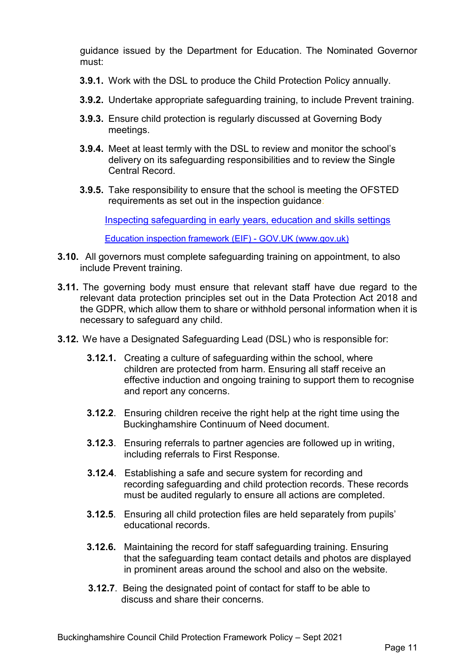guidance issued by the Department for Education. The Nominated Governor must:

- **3.9.1.** Work with the DSL to produce the Child Protection Policy annually.
- **3.9.2.** Undertake appropriate safeguarding training, to include Prevent training.
- **3.9.3.** Ensure child protection is regularly discussed at Governing Body meetings.
- **3.9.4.** Meet at least termly with the DSL to review and monitor the school's delivery on its safeguarding responsibilities and to review the Single Central Record.
- **3.9.5.** Take responsibility to ensure that the school is meeting the OFSTED requirements as set out in the inspection guidance:

[Inspecting safeguarding in early years, education and skills settings](https://assets.publishing.service.gov.uk/government/uploads/system/uploads/attachment_data/file/828763/Inspecting_safeguarding_in_early_years__education_and_skills.pdf)

[Education inspection framework \(EIF\) -](https://www.gov.uk/government/publications/education-inspection-framework) GOV.UK (www.gov.uk)

- **3.10.** All governors must complete safeguarding training on appointment, to also include Prevent training.
- **3.11.** The governing body must ensure that relevant staff have due regard to the relevant data protection principles set out in the Data Protection Act 2018 and the GDPR, which allow them to share or withhold personal information when it is necessary to safeguard any child.
- **3.12.** We have a Designated Safeguarding Lead (DSL) who is responsible for:
	- **3.12.1.** Creating a culture of safeguarding within the school, where children are protected from harm. Ensuring all staff receive an effective induction and ongoing training to support them to recognise and report any concerns.
	- **3.12.2**. Ensuring children receive the right help at the right time using the Buckinghamshire Continuum of Need document.
	- **3.12.3**. Ensuring referrals to partner agencies are followed up in writing, including referrals to First Response.
	- **3.12.4**. Establishing a safe and secure system for recording and recording safeguarding and child protection records. These records must be audited regularly to ensure all actions are completed.
	- **3.12.5**. Ensuring all child protection files are held separately from pupils' educational records.
	- **3.12.6.** Maintaining the record for staff safeguarding training. Ensuring that the safeguarding team contact details and photos are displayed in prominent areas around the school and also on the website.
	- **3.12.7**. Being the designated point of contact for staff to be able to discuss and share their concerns.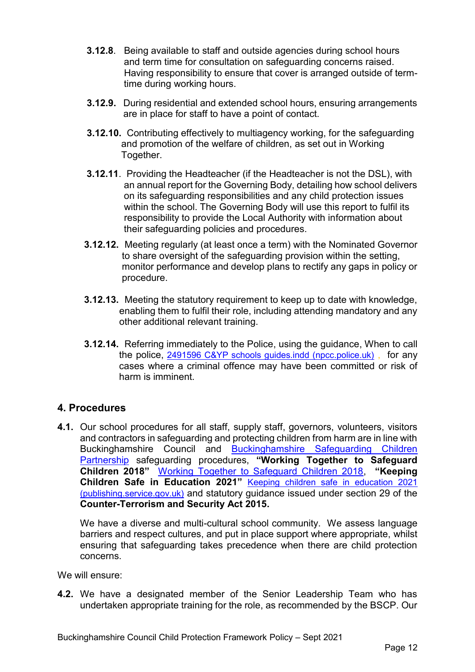- **3.12.8**. Being available to staff and outside agencies during school hours and term time for consultation on safeguarding concerns raised. Having responsibility to ensure that cover is arranged outside of term time during working hours.
- **3.12.9.** During residential and extended school hours, ensuring arrangements are in place for staff to have a point of contact.
- **3.12.10.** Contributing effectively to multiagency working, for the safeguarding and promotion of the welfare of children, as set out in Working Together.
- **3.12.11**. Providing the Headteacher (if the Headteacher is not the DSL), with an annual report for the Governing Body, detailing how school delivers on its safeguarding responsibilities and any child protection issues within the school. The Governing Body will use this report to fulfil its responsibility to provide the Local Authority with information about their safeguarding policies and procedures.
- **3.12.12.** Meeting regularly (at least once a term) with the Nominated Governor to share oversight of the safeguarding provision within the setting, monitor performance and develop plans to rectify any gaps in policy or procedure.
- **3.12.13.** Meeting the statutory requirement to keep up to date with knowledge, enabling them to fulfil their role, including attending mandatory and any other additional relevant training.
- **3.12.14.** Referring immediately to the Police, using the guidance, When to call the police, [2491596 C&YP schools guides.indd \(npcc.police.uk\)](https://www.npcc.police.uk/documents/Children%20and%20Young%20people/When%20to%20call%20the%20police%20guidance%20for%20schools%20and%20colleges.pdf) , for any cases where a criminal offence may have been committed or risk of harm is imminent.

# **4. Procedures**

**4.1.** Our school procedures for all staff, supply staff, governors, volunteers, visitors and contractors in safeguarding and protecting children from harm are in line with Buckinghamshire Council and [Buckinghamshire Safeguarding Children](https://www.bucks-lscb.org.uk/)  [Partnership](https://www.bucks-lscb.org.uk/) safeguarding procedures, **"Working Together to Safeguard Children 2018"** [Working Together to Safeguard Children 2018,](https://assets.publishing.service.gov.uk/government/uploads/system/uploads/attachment_data/file/942454/Working_together_to_safeguard_children_inter_agency_guidance.pdf) **"Keeping Children Safe in Education 2021"** [Keeping children safe in education 2021](https://assets.publishing.service.gov.uk/government/uploads/system/uploads/attachment_data/file/999348/Keeping_children_safe_in_education_2021.pdf)  [\(publishing.service.gov.uk\)](https://assets.publishing.service.gov.uk/government/uploads/system/uploads/attachment_data/file/999348/Keeping_children_safe_in_education_2021.pdf) and statutory guidance issued under section 29 of the **Counter-Terrorism and Security Act 2015.**

We have a diverse and multi-cultural school community. We assess language barriers and respect cultures, and put in place support where appropriate, whilst ensuring that safeguarding takes precedence when there are child protection concerns.

We will ensure:

**4.2.** We have a designated member of the Senior Leadership Team who has undertaken appropriate training for the role, as recommended by the BSCP. Our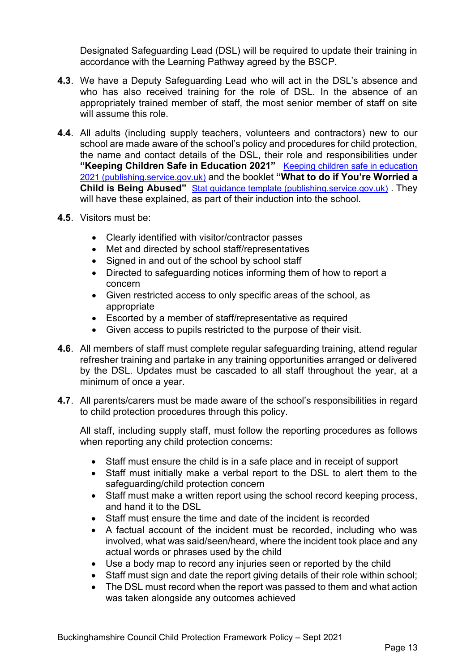Designated Safeguarding Lead (DSL) will be required to update their training in accordance with the Learning Pathway agreed by the BSCP.

- **4.3**. We have a Deputy Safeguarding Lead who will act in the DSL's absence and who has also received training for the role of DSL. In the absence of an appropriately trained member of staff, the most senior member of staff on site will assume this role.
- **4.4**. All adults (including supply teachers, volunteers and contractors) new to our school are made aware of the school's policy and procedures for child protection, the name and contact details of the DSL, their role and responsibilities under **"Keeping Children Safe in Education 2021"** [Keeping children safe in education](https://assets.publishing.service.gov.uk/government/uploads/system/uploads/attachment_data/file/999348/Keeping_children_safe_in_education_2021.pdf)  [2021 \(publishing.service.gov.uk\)](https://assets.publishing.service.gov.uk/government/uploads/system/uploads/attachment_data/file/999348/Keeping_children_safe_in_education_2021.pdf) and the booklet **"What to do if You're Worried a Child is Being Abused"** [Stat guidance template \(publishing.service.gov.uk\)](https://assets.publishing.service.gov.uk/government/uploads/system/uploads/attachment_data/file/419604/What_to_do_if_you_re_worried_a_child_is_being_abused.pdf). They will have these explained, as part of their induction into the school.
- **4.5**. Visitors must be:
	- Clearly identified with visitor/contractor passes
	- Met and directed by school staff/representatives
	- Signed in and out of the school by school staff
	- Directed to safeguarding notices informing them of how to report a concern
	- Given restricted access to only specific areas of the school, as appropriate
	- Escorted by a member of staff/representative as required
	- Given access to pupils restricted to the purpose of their visit.
- **4.6**. All members of staff must complete regular safeguarding training, attend regular refresher training and partake in any training opportunities arranged or delivered by the DSL. Updates must be cascaded to all staff throughout the year, at a minimum of once a year.
- **4.7**. All parents/carers must be made aware of the school's responsibilities in regard to child protection procedures through this policy.

All staff, including supply staff, must follow the reporting procedures as follows when reporting any child protection concerns:

- Staff must ensure the child is in a safe place and in receipt of support
- Staff must initially make a verbal report to the DSL to alert them to the safeguarding/child protection concern
- Staff must make a written report using the school record keeping process, and hand it to the DSL
- Staff must ensure the time and date of the incident is recorded
- A factual account of the incident must be recorded, including who was involved, what was said/seen/heard, where the incident took place and any actual words or phrases used by the child
- Use a body map to record any injuries seen or reported by the child
- Staff must sign and date the report giving details of their role within school;
- The DSL must record when the report was passed to them and what action was taken alongside any outcomes achieved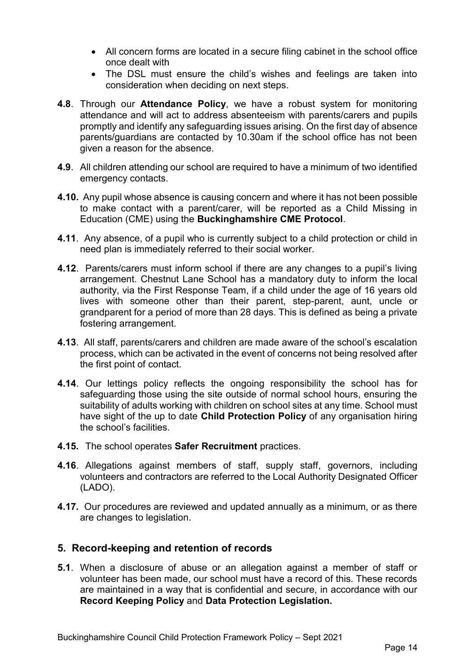- All concern forms are located in a secure filing cabinet in the school office once dealt with
- The DSL must ensure the child's wishes and feelings are taken into consideration when deciding on next steps.
- **4.8**. Through our **Attendance Policy**, we have a robust system for monitoring attendance and will act to address absenteeism with parents/carers and pupils promptly and identify any safeguarding issues arising. On the first day of absence parents/guardians are contacted by 10.30am if the school office has not been given a reason for the absence.
- **4.9**. All children attending our school are required to have a minimum of two identified emergency contacts.
- **4.10.** Any pupil whose absence is causing concern and where it has not been possible to make contact with a parent/carer, will be reported as a Child Missing in Education (CME) using the **Buckinghamshire CME Protocol**.
- **4.11**. Any absence, of a pupil who is currently subject to a child protection or child in need plan is immediately referred to their social worker.
- **4.12**. Parents/carers must inform school if there are any changes to a pupil's living arrangement. Chestnut Lane School has a mandatory duty to inform the local authority, via the First Response Team, if a child under the age of 16 years old lives with someone other than their parent, step-parent, aunt, uncle or grandparent for a period of more than 28 days. This is defined as being a private fostering arrangement.
- **4.13**. All staff, parents/carers and children are made aware of the school's escalation process, which can be activated in the event of concerns not being resolved after the first point of contact.
- **4.14**. Our lettings policy reflects the ongoing responsibility the school has for safeguarding those using the site outside of normal school hours, ensuring the suitability of adults working with children on school sites at any time. School must have sight of the up to date **Child Protection Policy** of any organisation hiring the school's facilities.
- **4.15.** The school operates **Safer Recruitment** practices.
- **4.16**. Allegations against members of staff, supply staff, governors, including volunteers and contractors are referred to the Local Authority Designated Officer (LADO).
- **4.17.** Our procedures are reviewed and updated annually as a minimum, or as there are changes to legislation.

## **5. Record-keeping and retention of records**

**5.1**. When a disclosure of abuse or an allegation against a member of staff or volunteer has been made, our school must have a record of this. These records are maintained in a way that is confidential and secure, in accordance with our **Record Keeping Policy** and **Data Protection Legislation.**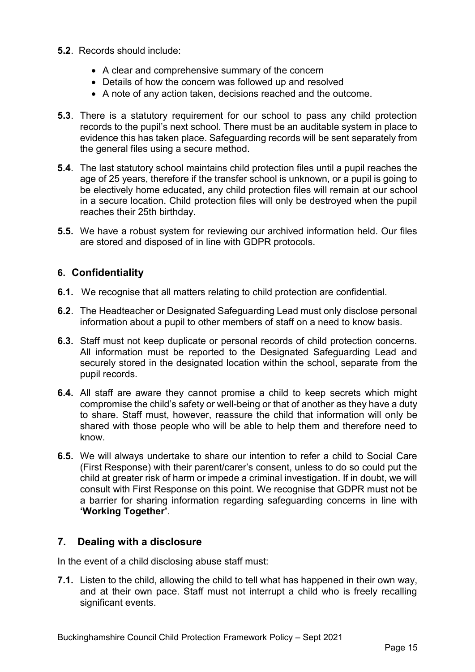- **5.2**. Records should include:
	- A clear and comprehensive summary of the concern
	- Details of how the concern was followed up and resolved
	- A note of any action taken, decisions reached and the outcome.
- **5.3**. There is a statutory requirement for our school to pass any child protection records to the pupil's next school. There must be an auditable system in place to evidence this has taken place. Safeguarding records will be sent separately from the general files using a secure method.
- **5.4**. The last statutory school maintains child protection files until a pupil reaches the age of 25 years, therefore if the transfer school is unknown, or a pupil is going to be electively home educated, any child protection files will remain at our school in a secure location. Child protection files will only be destroyed when the pupil reaches their 25th birthday.
- **5.5.** We have a robust system for reviewing our archived information held. Our files are stored and disposed of in line with GDPR protocols.

## **6. Confidentiality**

- **6.1.** We recognise that all matters relating to child protection are confidential.
- **6.2**. The Headteacher or Designated Safeguarding Lead must only disclose personal information about a pupil to other members of staff on a need to know basis.
- **6.3.** Staff must not keep duplicate or personal records of child protection concerns. All information must be reported to the Designated Safeguarding Lead and securely stored in the designated location within the school, separate from the pupil records.
- **6.4.** All staff are aware they cannot promise a child to keep secrets which might compromise the child's safety or well-being or that of another as they have a duty to share. Staff must, however, reassure the child that information will only be shared with those people who will be able to help them and therefore need to know.
- **6.5.** We will always undertake to share our intention to refer a child to Social Care (First Response) with their parent/carer's consent, unless to do so could put the child at greater risk of harm or impede a criminal investigation. If in doubt, we will consult with First Response on this point. We recognise that GDPR must not be a barrier for sharing information regarding safeguarding concerns in line with **'Working Together'**.

# **7. Dealing with a disclosure**

In the event of a child disclosing abuse staff must:

**7.1.** Listen to the child, allowing the child to tell what has happened in their own way, and at their own pace. Staff must not interrupt a child who is freely recalling significant events.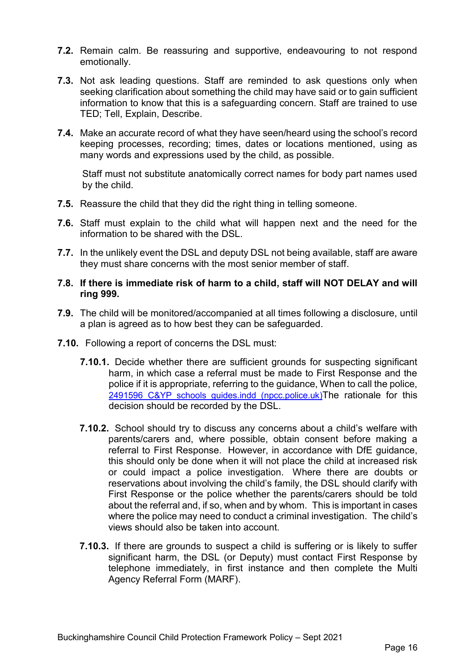- **7.2.** Remain calm. Be reassuring and supportive, endeavouring to not respond emotionally.
- **7.3.** Not ask leading questions. Staff are reminded to ask questions only when seeking clarification about something the child may have said or to gain sufficient information to know that this is a safeguarding concern. Staff are trained to use TED; Tell, Explain, Describe.
- **7.4.** Make an accurate record of what they have seen/heard using the school's record keeping processes, recording; times, dates or locations mentioned, using as many words and expressions used by the child, as possible.

Staff must not substitute anatomically correct names for body part names used by the child.

- **7.5.** Reassure the child that they did the right thing in telling someone.
- **7.6.** Staff must explain to the child what will happen next and the need for the information to be shared with the DSL.
- **7.7.** In the unlikely event the DSL and deputy DSL not being available, staff are aware they must share concerns with the most senior member of staff.

## **7.8. If there is immediate risk of harm to a child, staff will NOT DELAY and will ring 999.**

- **7.9.** The child will be monitored/accompanied at all times following a disclosure, until a plan is agreed as to how best they can be safeguarded.
- **7.10.** Following a report of concerns the DSL must:
	- **7.10.1.** Decide whether there are sufficient grounds for suspecting significant harm, in which case a referral must be made to First Response and the police if it is appropriate, referring to the guidance, When to call the police, [2491596 C&YP schools guides.indd \(npcc.police.uk\)](https://www.npcc.police.uk/documents/Children%20and%20Young%20people/When%20to%20call%20the%20police%20guidance%20for%20schools%20and%20colleges.pdf) The rationale for this decision should be recorded by the DSL.
	- **7.10.2.** School should try to discuss any concerns about a child's welfare with parents/carers and, where possible, obtain consent before making a referral to First Response. However, in accordance with DfE guidance, this should only be done when it will not place the child at increased risk or could impact a police investigation. Where there are doubts or reservations about involving the child's family, the DSL should clarify with First Response or the police whether the parents/carers should be told about the referral and, if so, when and by whom. This is important in cases where the police may need to conduct a criminal investigation. The child's views should also be taken into account.
	- **7.10.3.** If there are grounds to suspect a child is suffering or is likely to suffer significant harm, the DSL (or Deputy) must contact First Response by telephone immediately, in first instance and then complete the Multi Agency Referral Form (MARF).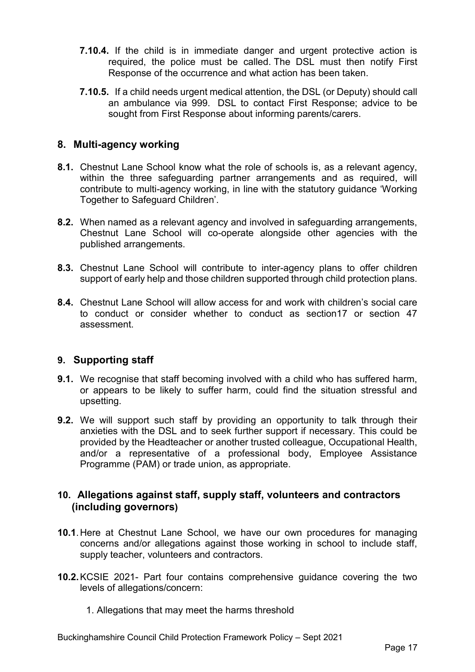- **7.10.4.** If the child is in immediate danger and urgent protective action is required, the police must be called. The DSL must then notify First Response of the occurrence and what action has been taken.
- **7.10.5.** If a child needs urgent medical attention, the DSL (or Deputy) should call an ambulance via 999. DSL to contact First Response; advice to be sought from First Response about informing parents/carers.

## **8. Multi-agency working**

- **8.1.** Chestnut Lane School know what the role of schools is, as a relevant agency, within the three safeguarding partner arrangements and as required, will contribute to multi-agency working, in line with the statutory guidance 'Working Together to Safeguard Children'.
- **8.2.** When named as a relevant agency and involved in safeguarding arrangements, Chestnut Lane School will co-operate alongside other agencies with the published arrangements.
- **8.3.** Chestnut Lane School will contribute to inter-agency plans to offer children support of early help and those children supported through child protection plans.
- **8.4.** Chestnut Lane School will allow access for and work with children's social care to conduct or consider whether to conduct as section17 or section 47 assessment.

# **9. Supporting staff**

- **9.1.** We recognise that staff becoming involved with a child who has suffered harm, or appears to be likely to suffer harm, could find the situation stressful and upsetting.
- **9.2.** We will support such staff by providing an opportunity to talk through their anxieties with the DSL and to seek further support if necessary. This could be provided by the Headteacher or another trusted colleague, Occupational Health, and/or a representative of a professional body, Employee Assistance Programme (PAM) or trade union, as appropriate.

## **10. Allegations against staff, supply staff, volunteers and contractors (including governors)**

- **10.1**.Here at Chestnut Lane School, we have our own procedures for managing concerns and/or allegations against those working in school to include staff, supply teacher, volunteers and contractors.
- **10.2.**KCSIE 2021- Part four contains comprehensive guidance covering the two levels of allegations/concern:
	- 1. Allegations that may meet the harms threshold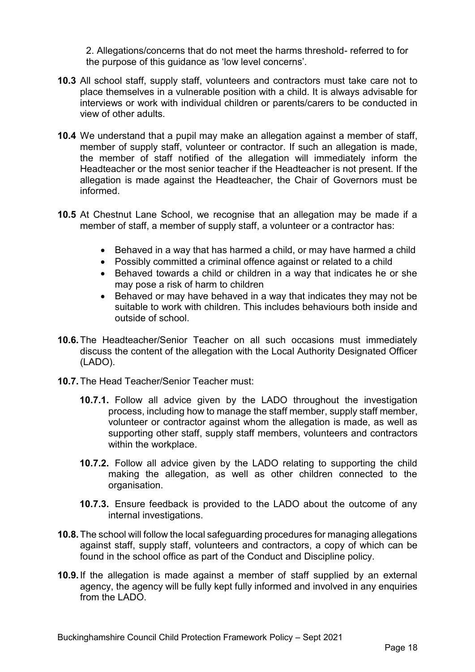2. Allegations/concerns that do not meet the harms threshold- referred to for the purpose of this guidance as 'low level concerns'.

- **10.3** All school staff, supply staff, volunteers and contractors must take care not to place themselves in a vulnerable position with a child. It is always advisable for interviews or work with individual children or parents/carers to be conducted in view of other adults.
- **10.4** We understand that a pupil may make an allegation against a member of staff, member of supply staff, volunteer or contractor. If such an allegation is made, the member of staff notified of the allegation will immediately inform the Headteacher or the most senior teacher if the Headteacher is not present. If the allegation is made against the Headteacher, the Chair of Governors must be informed.
- **10.5** At Chestnut Lane School, we recognise that an allegation may be made if a member of staff, a member of supply staff, a volunteer or a contractor has:
	- Behaved in a way that has harmed a child, or may have harmed a child
	- Possibly committed a criminal offence against or related to a child
	- Behaved towards a child or children in a way that indicates he or she may pose a risk of harm to children
	- Behaved or may have behaved in a way that indicates they may not be suitable to work with children. This includes behaviours both inside and outside of school.
- **10.6.**The Headteacher/Senior Teacher on all such occasions must immediately discuss the content of the allegation with the Local Authority Designated Officer (LADO).
- **10.7.**The Head Teacher/Senior Teacher must:
	- **10.7.1.** Follow all advice given by the LADO throughout the investigation process, including how to manage the staff member, supply staff member, volunteer or contractor against whom the allegation is made, as well as supporting other staff, supply staff members, volunteers and contractors within the workplace.
	- **10.7.2.** Follow all advice given by the LADO relating to supporting the child making the allegation, as well as other children connected to the organisation.
	- **10.7.3.** Ensure feedback is provided to the LADO about the outcome of any internal investigations.
- **10.8.**The school will follow the local safeguarding procedures for managing allegations against staff, supply staff, volunteers and contractors, a copy of which can be found in the school office as part of the Conduct and Discipline policy.
- **10.9.**If the allegation is made against a member of staff supplied by an external agency, the agency will be fully kept fully informed and involved in any enquiries from the LADO.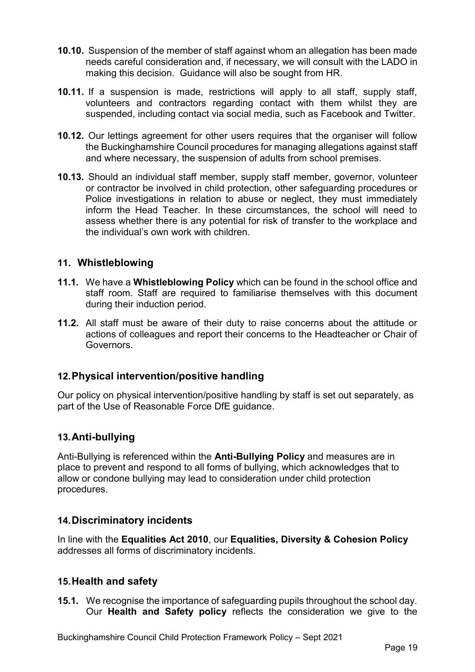- **10.10.** Suspension of the member of staff against whom an allegation has been made needs careful consideration and, if necessary, we will consult with the LADO in making this decision. Guidance will also be sought from HR.
- **10.11.** If a suspension is made, restrictions will apply to all staff, supply staff, volunteers and contractors regarding contact with them whilst they are suspended, including contact via social media, such as Facebook and Twitter.
- **10.12.** Our lettings agreement for other users requires that the organiser will follow the Buckinghamshire Council procedures for managing allegations against staff and where necessary, the suspension of adults from school premises.
- **10.13.** Should an individual staff member, supply staff member, governor, volunteer or contractor be involved in child protection, other safeguarding procedures or Police investigations in relation to abuse or neglect, they must immediately inform the Head Teacher. In these circumstances, the school will need to assess whether there is any potential for risk of transfer to the workplace and the individual's own work with children.

## **11. Whistleblowing**

- **11.1.** We have a **Whistleblowing Policy** which can be found in the school office and staff room. Staff are required to familiarise themselves with this document during their induction period.
- **11.2.** All staff must be aware of their duty to raise concerns about the attitude or actions of colleagues and report their concerns to the Headteacher or Chair of Governors.

## **12.Physical intervention/positive handling**

Our policy on physical intervention/positive handling by staff is set out separately, as part of the Use of Reasonable Force DfE guidance.

## **13.Anti-bullying**

Anti-Bullying is referenced within the **Anti-Bullying Policy** and measures are in place to prevent and respond to all forms of bullying, which acknowledges that to allow or condone bullying may lead to consideration under child protection procedures.

## **14.Discriminatory incidents**

In line with the **Equalities Act 2010**, our **Equalities, Diversity & Cohesion Policy** addresses all forms of discriminatory incidents.

## **15.Health and safety**

**15.1.** We recognise the importance of safeguarding pupils throughout the school day. Our **Health and Safety policy** reflects the consideration we give to the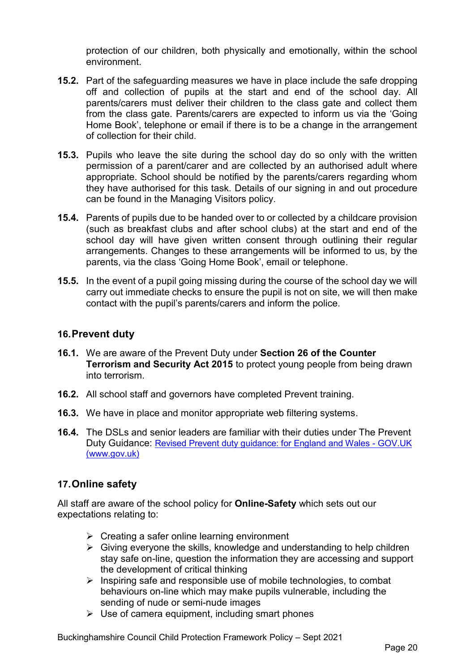protection of our children, both physically and emotionally, within the school environment.

- **15.2.** Part of the safeguarding measures we have in place include the safe dropping off and collection of pupils at the start and end of the school day. All parents/carers must deliver their children to the class gate and collect them from the class gate. Parents/carers are expected to inform us via the 'Going Home Book', telephone or email if there is to be a change in the arrangement of collection for their child.
- **15.3.** Pupils who leave the site during the school day do so only with the written permission of a parent/carer and are collected by an authorised adult where appropriate. School should be notified by the parents/carers regarding whom they have authorised for this task. Details of our signing in and out procedure can be found in the Managing Visitors policy.
- **15.4.** Parents of pupils due to be handed over to or collected by a childcare provision (such as breakfast clubs and after school clubs) at the start and end of the school day will have given written consent through outlining their regular arrangements. Changes to these arrangements will be informed to us, by the parents, via the class 'Going Home Book', email or telephone.
- **15.5.** In the event of a pupil going missing during the course of the school day we will carry out immediate checks to ensure the pupil is not on site, we will then make contact with the pupil's parents/carers and inform the police.

## **16.Prevent duty**

- **16.1.** We are aware of the Prevent Duty under **Section 26 of the Counter Terrorism and Security Act 2015** to protect young people from being drawn into terrorism.
- **16.2.** All school staff and governors have completed Prevent training.
- **16.3.** We have in place and monitor appropriate web filtering systems.
- **16.4.** The DSLs and senior leaders are familiar with their duties under The Prevent Duty Guidance: [Revised Prevent duty guidance: for England and Wales -](https://www.gov.uk/government/publications/prevent-duty-guidance/revised-prevent-duty-guidance-for-england-and-wales) GOV.UK [\(www.gov.uk\)](https://www.gov.uk/government/publications/prevent-duty-guidance/revised-prevent-duty-guidance-for-england-and-wales)

## **17.Online safety**

All staff are aware of the school policy for **Online-Safety** which sets out our expectations relating to:

- $\triangleright$  Creating a safer online learning environment
- $\triangleright$  Giving everyone the skills, knowledge and understanding to help children stay safe on-line, question the information they are accessing and support the development of critical thinking
- $\triangleright$  Inspiring safe and responsible use of mobile technologies, to combat behaviours on-line which may make pupils vulnerable, including the sending of nude or semi-nude images
- $\triangleright$  Use of camera equipment, including smart phones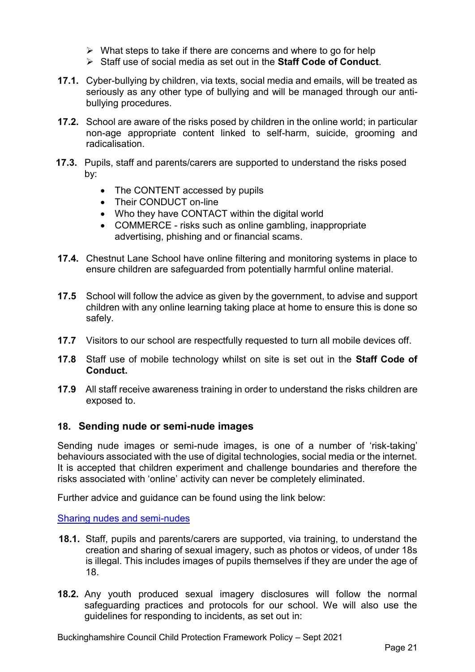- $\triangleright$  What steps to take if there are concerns and where to go for help
- Staff use of social media as set out in the **Staff Code of Conduct**.
- **17.1.** Cyber-bullying by children, via texts, social media and emails, will be treated as seriously as any other type of bullying and will be managed through our antibullying procedures.
- **17.2.** School are aware of the risks posed by children in the online world; in particular non-age appropriate content linked to self-harm, suicide, grooming and radicalisation.
- **17.3.** Pupils, staff and parents/carers are supported to understand the risks posed by:
	- The CONTENT accessed by pupils
	- Their CONDUCT on-line
	- Who they have CONTACT within the digital world
	- COMMERCE risks such as online gambling, inappropriate advertising, phishing and or financial scams.
- **17.4.** Chestnut Lane School have online filtering and monitoring systems in place to ensure children are safeguarded from potentially harmful online material.
- **17.5** School will follow the advice as given by the government, to advise and support children with any online learning taking place at home to ensure this is done so safely.
- **17.7** Visitors to our school are respectfully requested to turn all mobile devices off.
- **17.8** Staff use of mobile technology whilst on site is set out in the **Staff Code of Conduct.**
- **17.9** All staff receive awareness training in order to understand the risks children are exposed to.

## **18. Sending nude or semi-nude images**

Sending nude images or semi-nude images, is one of a number of 'risk-taking' behaviours associated with the use of digital technologies, social media or the internet. It is accepted that children experiment and challenge boundaries and therefore the risks associated with 'online' activity can never be completely eliminated.

Further advice and guidance can be found using the link below:

#### [Sharing nudes and semi-nudes](https://assets.publishing.service.gov.uk/government/uploads/system/uploads/attachment_data/file/947545/UKCIS_sharing_nudes_and_semi_nudes_advice_for_education_settings_V2.pdf)

- **18.1.** Staff, pupils and parents/carers are supported, via training, to understand the creation and sharing of sexual imagery, such as photos or videos, of under 18s is illegal. This includes images of pupils themselves if they are under the age of 18.
- **18.2.** Any youth produced sexual imagery disclosures will follow the normal safeguarding practices and protocols for our school. We will also use the guidelines for responding to incidents, as set out in:

Buckinghamshire Council Child Protection Framework Policy – Sept 2021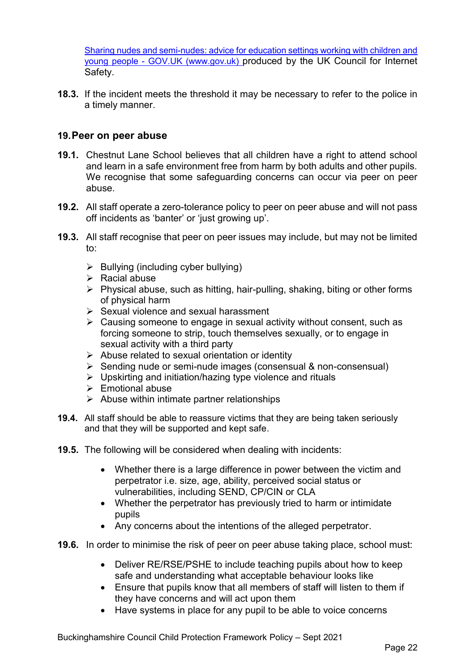Sharing nudes and semi-nudes: advice for education settings working with children and young people - GOV.UK (www.gov.uk) produced by the UK Council for Internet Safety.

**18.3.** If the incident meets the threshold it may be necessary to refer to the police in a timely manner.

## **19.Peer on peer abuse**

- **19.1.** Chestnut Lane School believes that all children have a right to attend school and learn in a safe environment free from harm by both adults and other pupils. We recognise that some safeguarding concerns can occur via peer on peer abuse.
- **19.2.** All staff operate a zero-tolerance policy to peer on peer abuse and will not pass off incidents as 'banter' or 'just growing up'.
- **19.3.** All staff recognise that peer on peer issues may include, but may not be limited to:
	- $\triangleright$  Bullying (including cyber bullying)
	- $\triangleright$  Racial abuse
	- $\triangleright$  Physical abuse, such as hitting, hair-pulling, shaking, biting or other forms of physical harm
	- $\triangleright$  Sexual violence and sexual harassment
	- $\triangleright$  Causing someone to engage in sexual activity without consent, such as forcing someone to strip, touch themselves sexually, or to engage in sexual activity with a third party
	- $\triangleright$  Abuse related to sexual orientation or identity
	- $\triangleright$  Sending nude or semi-nude images (consensual & non-consensual)
	- $\triangleright$  Upskirting and initiation/hazing type violence and rituals
	- $\triangleright$  Emotional abuse
	- $\triangleright$  Abuse within intimate partner relationships
- **19.4.** All staff should be able to reassure victims that they are being taken seriously and that they will be supported and kept safe.
- **19.5.** The following will be considered when dealing with incidents:
	- Whether there is a large difference in power between the victim and perpetrator i.e. size, age, ability, perceived social status or vulnerabilities, including SEND, CP/CIN or CLA
	- Whether the perpetrator has previously tried to harm or intimidate pupils
	- Any concerns about the intentions of the alleged perpetrator.
- **19.6.** In order to minimise the risk of peer on peer abuse taking place, school must:
	- Deliver RE/RSE/PSHE to include teaching pupils about how to keep safe and understanding what acceptable behaviour looks like
	- Ensure that pupils know that all members of staff will listen to them if they have concerns and will act upon them
	- Have systems in place for any pupil to be able to voice concerns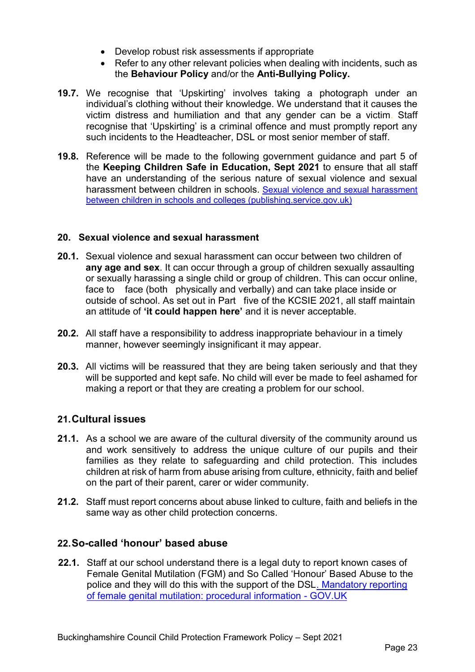- Develop robust risk assessments if appropriate
- Refer to any other relevant policies when dealing with incidents, such as the **Behaviour Policy** and/or the **Anti-Bullying Policy.**
- **19.7.** We recognise that 'Upskirting' involves taking a photograph under an individual's clothing without their knowledge. We understand that it causes the victim distress and humiliation and that any gender can be a victim. Staff recognise that 'Upskirting' is a criminal offence and must promptly report any such incidents to the Headteacher, DSL or most senior member of staff.
- **19.8.** Reference will be made to the following government guidance and part 5 of the **Keeping Children Safe in Education, Sept 2021** to ensure that all staff have an understanding of the serious nature of sexual violence and sexual harassment between children in schools. [Sexual violence and sexual harassment](https://assets.publishing.service.gov.uk/government/uploads/system/uploads/attachment_data/file/999239/SVSH_2021.pdf)  [between children in schools and colleges \(publishing.service.gov.uk\)](https://assets.publishing.service.gov.uk/government/uploads/system/uploads/attachment_data/file/999239/SVSH_2021.pdf)

## **20. Sexual violence and sexual harassment**

- **20.1.** Sexual violence and sexual harassment can occur between two children of **any age and sex**. It can occur through a group of children sexually assaulting or sexually harassing a single child or group of children. This can occur online, face to face (both physically and verbally) and can take place inside or outside of school. As set out in Part five of the KCSIE 2021, all staff maintain an attitude of **'it could happen here'** and it is never acceptable.
- **20.2.** All staff have a responsibility to address inappropriate behaviour in a timely manner, however seemingly insignificant it may appear.
- **20.3.** All victims will be reassured that they are being taken seriously and that they will be supported and kept safe. No child will ever be made to feel ashamed for making a report or that they are creating a problem for our school.

## **21.Cultural issues**

- **21.1.** As a school we are aware of the cultural diversity of the community around us and work sensitively to address the unique culture of our pupils and their families as they relate to safeguarding and child protection. This includes children at risk of harm from abuse arising from culture, ethnicity, faith and belief on the part of their parent, carer or wider community.
- **21.2.** Staff must report concerns about abuse linked to culture, faith and beliefs in the same way as other child protection concerns.

## **22.So-called 'honour' based abuse**

**22.1.** Staff at our school understand there is a legal duty to report known cases of Female Genital Mutilation (FGM) and So Called 'Honour' Based Abuse to the police and they will do this with the support of the DSL. [Mandatory reporting](https://www.gov.uk/government/publications/mandatory-reporting-of-female-genital-mutilation-procedural-information)  [of female genital mutilation: procedural information -](https://www.gov.uk/government/publications/mandatory-reporting-of-female-genital-mutilation-procedural-information) GOV.UK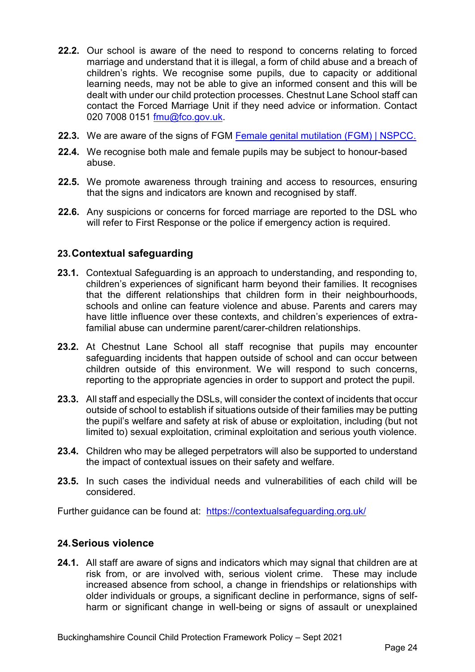- **22.2.** Our school is aware of the need to respond to concerns relating to forced marriage and understand that it is illegal, a form of child abuse and a breach of children's rights. We recognise some pupils, due to capacity or additional learning needs, may not be able to give an informed consent and this will be dealt with under our child protection processes. Chestnut Lane School staff can contact the Forced Marriage Unit if they need advice or information. Contact 020 7008 0151 [fmu@fco.gov.uk.](mailto:fmu@fco.gov.uk)
- **22.3.** We are aware of the signs of FGM [Female genital mutilation \(FGM\) | NSPCC.](https://www.nspcc.org.uk/what-is-child-abuse/types-of-abuse/female-genital-mutilation-fgm/)
- **22.4.** We recognise both male and female pupils may be subject to honour-based abuse.
- **22.5.** We promote awareness through training and access to resources, ensuring that the signs and indicators are known and recognised by staff.
- **22.6.** Any suspicions or concerns for forced marriage are reported to the DSL who will refer to First Response or the police if emergency action is required.

## **23.Contextual safeguarding**

- **23.1.** Contextual Safeguarding is an approach to understanding, and responding to, children's experiences of significant harm beyond their families. It recognises that the different relationships that children form in their neighbourhoods, schools and online can feature violence and abuse. Parents and carers may have little influence over these contexts, and children's experiences of extrafamilial abuse can undermine parent/carer-children relationships.
- 23.2. At Chestnut Lane School all staff recognise that pupils may encounter safeguarding incidents that happen outside of school and can occur between children outside of this environment. We will respond to such concerns, reporting to the appropriate agencies in order to support and protect the pupil.
- **23.3.** All staff and especially the DSLs, will consider the context of incidents that occur outside of school to establish if situations outside of their families may be putting the pupil's welfare and safety at risk of abuse or exploitation, including (but not limited to) sexual exploitation, criminal exploitation and serious youth violence.
- **23.4.** Children who may be alleged perpetrators will also be supported to understand the impact of contextual issues on their safety and welfare.
- **23.5.** In such cases the individual needs and vulnerabilities of each child will be considered.

Further guidance can be found at: <https://contextualsafeguarding.org.uk/>

## **24.Serious violence**

**24.1.** All staff are aware of signs and indicators which may signal that children are at risk from, or are involved with, serious violent crime. These may include increased absence from school, a change in friendships or relationships with older individuals or groups, a significant decline in performance, signs of selfharm or significant change in well-being or signs of assault or unexplained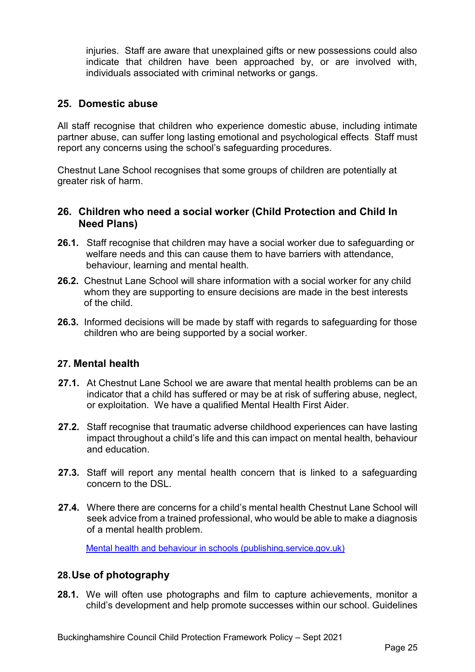injuries. Staff are aware that unexplained gifts or new possessions could also indicate that children have been approached by, or are involved with, individuals associated with criminal networks or gangs.

## **25. Domestic abuse**

All staff recognise that children who experience domestic abuse, including intimate partner abuse, can suffer long lasting emotional and psychological effects. Staff must report any concerns using the school's safeguarding procedures.

Chestnut Lane School recognises that some groups of children are potentially at greater risk of harm.

## **26. Children who need a social worker (Child Protection and Child In Need Plans)**

- **26.1.** Staff recognise that children may have a social worker due to safeguarding or welfare needs and this can cause them to have barriers with attendance, behaviour, learning and mental health.
- **26.2.** Chestnut Lane School will share information with a social worker for any child whom they are supporting to ensure decisions are made in the best interests of the child.
- **26.3.** Informed decisions will be made by staff with regards to safeguarding for those children who are being supported by a social worker.

## **27. Mental health**

- **27.1.** At Chestnut Lane School we are aware that mental health problems can be an indicator that a child has suffered or may be at risk of suffering abuse, neglect, or exploitation. We have a qualified Mental Health First Aider.
- **27.2.** Staff recognise that traumatic adverse childhood experiences can have lasting impact throughout a child's life and this can impact on mental health, behaviour and education.
- **27.3.** Staff will report any mental health concern that is linked to a safeguarding concern to the DSL.
- **27.4.** Where there are concerns for a child's mental health Chestnut Lane School will seek advice from a trained professional, who would be able to make a diagnosis of a mental health problem.

[Mental health and behaviour in schools \(publishing.service.gov.uk\)](https://assets.publishing.service.gov.uk/government/uploads/system/uploads/attachment_data/file/755135/Mental_health_and_behaviour_in_schools__.pdf)

## **28.Use of photography**

**28.1.** We will often use photographs and film to capture achievements, monitor a child's development and help promote successes within our school. Guidelines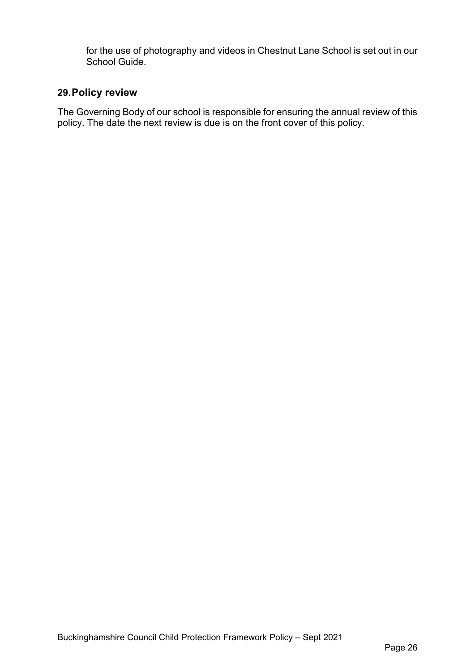for the use of photography and videos in Chestnut Lane School is set out in our School Guide.

# **29.Policy review**

The Governing Body of our school is responsible for ensuring the annual review of this policy. The date the next review is due is on the front cover of this policy.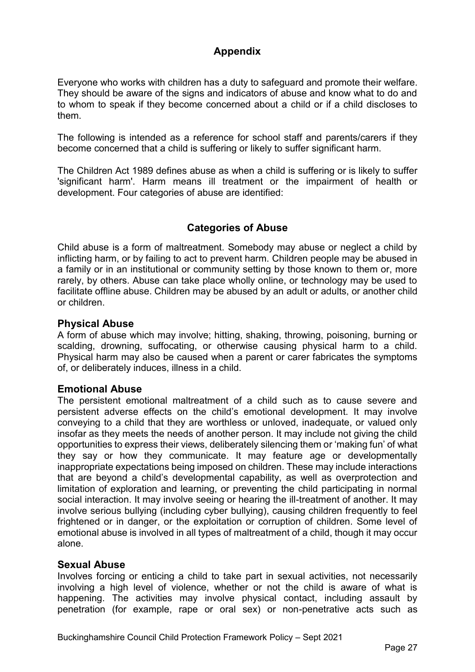# **Appendix**

Everyone who works with children has a duty to safeguard and promote their welfare. They should be aware of the signs and indicators of abuse and know what to do and to whom to speak if they become concerned about a child or if a child discloses to them.

The following is intended as a reference for school staff and parents/carers if they become concerned that a child is suffering or likely to suffer significant harm.

The Children Act 1989 defines abuse as when a child is suffering or is likely to suffer 'significant harm'. Harm means ill treatment or the impairment of health or development. Four categories of abuse are identified:

# **Categories of Abuse**

Child abuse is a form of maltreatment. Somebody may abuse or neglect a child by inflicting harm, or by failing to act to prevent harm. Children people may be abused in a family or in an institutional or community setting by those known to them or, more rarely, by others. Abuse can take place wholly online, or technology may be used to facilitate offline abuse. Children may be abused by an adult or adults, or another child or children.

## **Physical Abuse**

A form of abuse which may involve; hitting, shaking, throwing, poisoning, burning or scalding, drowning, suffocating, or otherwise causing physical harm to a child. Physical harm may also be caused when a parent or carer fabricates the symptoms of, or deliberately induces, illness in a child.

## **Emotional Abuse**

The persistent emotional maltreatment of a child such as to cause severe and persistent adverse effects on the child's emotional development. It may involve conveying to a child that they are worthless or unloved, inadequate, or valued only insofar as they meets the needs of another person. It may include not giving the child opportunities to express their views, deliberately silencing them or 'making fun' of what they say or how they communicate. It may feature age or developmentally inappropriate expectations being imposed on children. These may include interactions that are beyond a child's developmental capability, as well as overprotection and limitation of exploration and learning, or preventing the child participating in normal social interaction. It may involve seeing or hearing the ill-treatment of another. It may involve serious bullying (including cyber bullying), causing children frequently to feel frightened or in danger, or the exploitation or corruption of children. Some level of emotional abuse is involved in all types of maltreatment of a child, though it may occur alone.

## **Sexual Abuse**

Involves forcing or enticing a child to take part in sexual activities, not necessarily involving a high level of violence, whether or not the child is aware of what is happening. The activities may involve physical contact, including assault by penetration (for example, rape or oral sex) or non-penetrative acts such as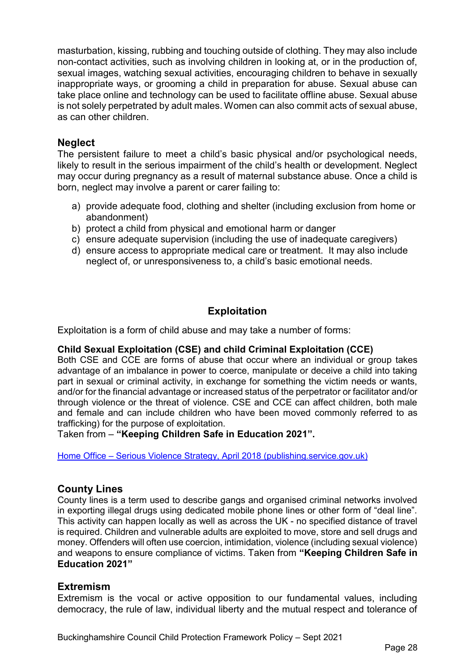masturbation, kissing, rubbing and touching outside of clothing. They may also include non-contact activities, such as involving children in looking at, or in the production of, sexual images, watching sexual activities, encouraging children to behave in sexually inappropriate ways, or grooming a child in preparation for abuse. Sexual abuse can take place online and technology can be used to facilitate offline abuse. Sexual abuse is not solely perpetrated by adult males. Women can also commit acts of sexual abuse, as can other children.

## **Neglect**

The persistent failure to meet a child's basic physical and/or psychological needs, likely to result in the serious impairment of the child's health or development. Neglect may occur during pregnancy as a result of maternal substance abuse. Once a child is born, neglect may involve a parent or carer failing to:

- a) provide adequate food, clothing and shelter (including exclusion from home or abandonment)
- b) protect a child from physical and emotional harm or danger
- c) ensure adequate supervision (including the use of inadequate caregivers)
- d) ensure access to appropriate medical care or treatment. It may also include neglect of, or unresponsiveness to, a child's basic emotional needs.

# **Exploitation**

Exploitation is a form of child abuse and may take a number of forms:

## **Child Sexual Exploitation (CSE) and child Criminal Exploitation (CCE)**

Both CSE and CCE are forms of abuse that occur where an individual or group takes advantage of an imbalance in power to coerce, manipulate or deceive a child into taking part in sexual or criminal activity, in exchange for something the victim needs or wants, and/or for the financial advantage or increased status of the perpetrator or facilitator and/or through violence or the threat of violence. CSE and CCE can affect children, both male and female and can include children who have been moved commonly referred to as trafficking) for the purpose of exploitation.

Taken from – **"Keeping Children Safe in Education 2021".**

Home Office – [Serious Violence Strategy, April 2018 \(publishing.service.gov.uk\)](https://assets.publishing.service.gov.uk/government/uploads/system/uploads/attachment_data/file/698009/serious-violence-strategy.pdf)

## **County Lines**

County lines is a term used to describe gangs and organised criminal networks involved in exporting illegal drugs using dedicated mobile phone lines or other form of "deal line". This activity can happen locally as well as across the UK - no specified distance of travel is required. Children and vulnerable adults are exploited to move, store and sell drugs and money. Offenders will often use coercion, intimidation, violence (including sexual violence) and weapons to ensure compliance of victims. Taken from **"Keeping Children Safe in Education 2021"**

## **Extremism**

Extremism is the vocal or active opposition to our fundamental values, including democracy, the rule of law, individual liberty and the mutual respect and tolerance of